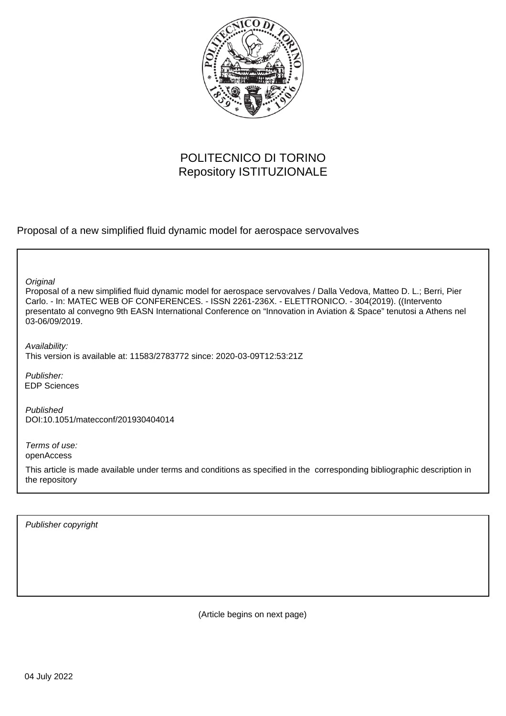

## POLITECNICO DI TORINO Repository ISTITUZIONALE

Proposal of a new simplified fluid dynamic model for aerospace servovalves

**Original** 

Proposal of a new simplified fluid dynamic model for aerospace servovalves / Dalla Vedova, Matteo D. L.; Berri, Pier Carlo. - In: MATEC WEB OF CONFERENCES. - ISSN 2261-236X. - ELETTRONICO. - 304(2019). ((Intervento presentato al convegno 9th EASN International Conference on "Innovation in Aviation & Space" tenutosi a Athens nel 03-06/09/2019.

Availability: This version is available at: 11583/2783772 since: 2020-03-09T12:53:21Z

Publisher: EDP Sciences

Published DOI:10.1051/matecconf/201930404014

Terms of use: openAccess

This article is made available under terms and conditions as specified in the corresponding bibliographic description in the repository

Publisher copyright

(Article begins on next page)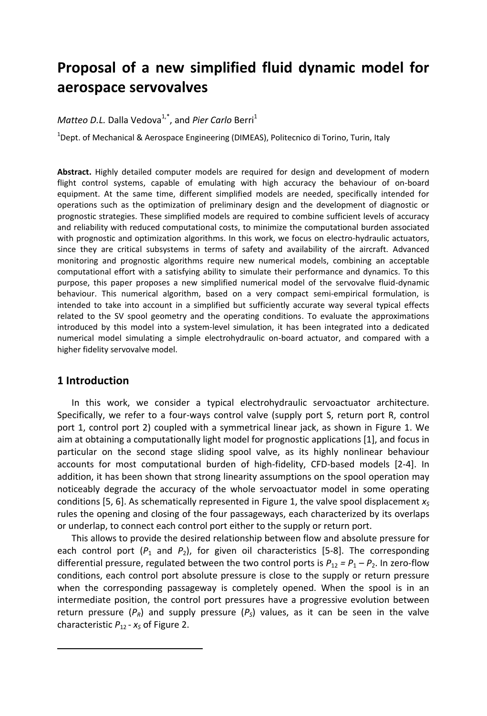# **Proposal of a new simplified fluid dynamic model for aerospace servovalves**

## Matteo D.L. Dalla Vedova<sup>1,\*</sup>, and Pier Carlo Berri<sup>1</sup>

<sup>1</sup>Dept. of Mechanical & Aerospace Engineering (DIMEAS), Politecnico di Torino, Turin, Italy

**Abstract.** Highly detailed computer models are required for design and development of modern flight control systems, capable of emulating with high accuracy the behaviour of on-board equipment. At the same time, different simplified models are needed, specifically intended for operations such as the optimization of preliminary design and the development of diagnostic or prognostic strategies. These simplified models are required to combine sufficient levels of accuracy and reliability with reduced computational costs, to minimize the computational burden associated with prognostic and optimization algorithms. In this work, we focus on electro-hydraulic actuators, since they are critical subsystems in terms of safety and availability of the aircraft. Advanced monitoring and prognostic algorithms require new numerical models, combining an acceptable computational effort with a satisfying ability to simulate their performance and dynamics. To this purpose, this paper proposes a new simplified numerical model of the servovalve fluid-dynamic behaviour. This numerical algorithm, based on a very compact semi-empirical formulation, is intended to take into account in a simplified but sufficiently accurate way several typical effects related to the SV spool geometry and the operating conditions. To evaluate the approximations introduced by this model into a system-level simulation, it has been integrated into a dedicated numerical model simulating a simple electrohydraulic on-board actuator, and compared with a higher fidelity servovalve model.

### **1 Introduction**

 $\overline{a}$ 

In this work, we consider a typical electrohydraulic servoactuator architecture. Specifically, we refer to a four-ways control valve (supply port S, return port R, control port 1, control port 2) coupled with a symmetrical linear jack, as shown in Figure 1. We aim at obtaining a computationally light model for prognostic applications [1], and focus in particular on the second stage sliding spool valve, as its highly nonlinear behaviour accounts for most computational burden of high-fidelity, CFD-based models [2-4]. In addition, it has been shown that strong linearity assumptions on the spool operation may noticeably degrade the accuracy of the whole servoactuator model in some operating conditions [5, 6]. As schematically represented in Figure 1, the valve spool displacement  $x<sub>S</sub>$ rules the opening and closing of the four passageways, each characterized by its overlaps or underlap, to connect each control port either to the supply or return port.

This allows to provide the desired relationship between flow and absolute pressure for each control port  $(P_1$  and  $P_2$ ), for given oil characteristics [5-8]. The corresponding differential pressure, regulated between the two control ports is  $P_{12} = P_1 - P_2$ . In zero-flow conditions, each control port absolute pressure is close to the supply or return pressure when the corresponding passageway is completely opened. When the spool is in an intermediate position, the control port pressures have a progressive evolution between return pressure ( $P_R$ ) and supply pressure ( $P_S$ ) values, as it can be seen in the valve characteristic  $P_{12}$  -  $x_S$  of Figure 2.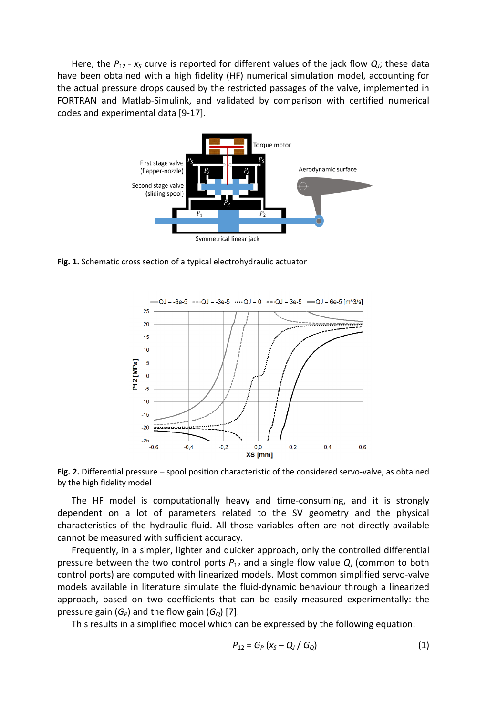Here, the  $P_{12}$  -  $x_s$  curve is reported for different values of the jack flow  $Q_j$ ; these data have been obtained with a high fidelity (HF) numerical simulation model, accounting for the actual pressure drops caused by the restricted passages of the valve, implemented in FORTRAN and Matlab-Simulink, and validated by comparison with certified numerical codes and experimental data [9-17].



**Fig. 1.** Schematic cross section of a typical electrohydraulic actuator



**Fig. 2.** Differential pressure – spool position characteristic of the considered servo-valve, as obtained by the high fidelity model

The HF model is computationally heavy and time-consuming, and it is strongly dependent on a lot of parameters related to the SV geometry and the physical characteristics of the hydraulic fluid. All those variables often are not directly available cannot be measured with sufficient accuracy.

Frequently, in a simpler, lighter and quicker approach, only the controlled differential pressure between the two control ports  $P_{12}$  and a single flow value  $Q_j$  (common to both control ports) are computed with linearized models. Most common simplified servo-valve models available in literature simulate the fluid-dynamic behaviour through a linearized approach, based on two coefficients that can be easily measured experimentally: the pressure gain  $(G_P)$  and the flow gain  $(G_O)$  [7].

This results in a simplified model which can be expressed by the following equation:

$$
P_{12} = G_P (x_S - Q_J / G_Q)
$$
 (1)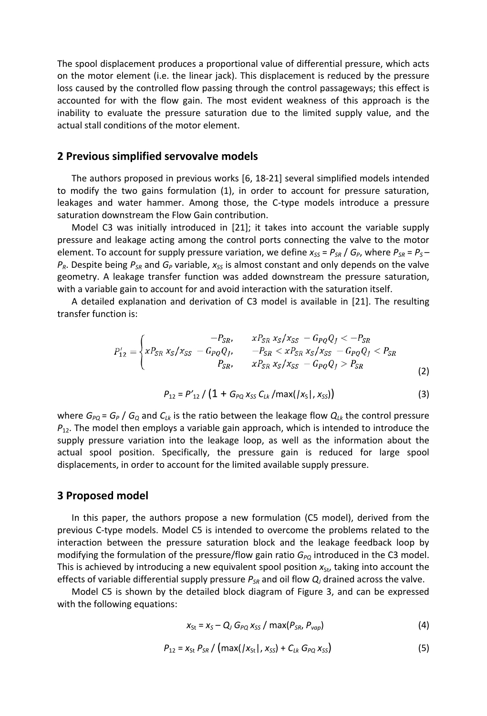The spool displacement produces a proportional value of differential pressure, which acts on the motor element (i.e. the linear jack). This displacement is reduced by the pressure loss caused by the controlled flow passing through the control passageways; this effect is accounted for with the flow gain. The most evident weakness of this approach is the inability to evaluate the pressure saturation due to the limited supply value, and the actual stall conditions of the motor element.

#### **2 Previous simplified servovalve models**

The authors proposed in previous works [6, 18-21] several simplified models intended to modify the two gains formulation (1), in order to account for pressure saturation, leakages and water hammer. Among those, the C-type models introduce a pressure saturation downstream the Flow Gain contribution.

Model C3 was initially introduced in [21]; it takes into account the variable supply pressure and leakage acting among the control ports connecting the valve to the motor element. To account for supply pressure variation, we define  $x_{ss} = P_{SR} / G_P$ , where  $P_{SR} = P_s -$ *PR*. Despite being *PSR* and *G<sup>P</sup>* variable, *xSS* is almost constant and only depends on the valve geometry. A leakage transfer function was added downstream the pressure saturation, with a variable gain to account for and avoid interaction with the saturation itself.

A detailed explanation and derivation of C3 model is available in [21]. The resulting transfer function is:

$$
P'_{12} = \begin{cases} -P_{SR}, & xP_{SR} x_S/x_{SS} - G_{PQ}Q_J < -P_{SR} \\ xP_{SR} x_S/x_{SS} - G_{PQ}Q_J, & -P_{SR} < xP_{SR} x_S/x_{SS} - G_{PQ}Q_J < P_{SR} \\ P_{SR}, & xP_{SR} x_S/x_{SS} - G_{PQ}Q_J > P_{SR} \end{cases}
$$
(2)

$$
P_{12} = P'_{12} / (1 + G_{PQ} x_{SS} C_{Lk} / \text{max}( |x_{S}|, x_{SS}) )
$$
 (3)

where  $G_{PQ} = G_P$  /  $G_Q$  and  $C_{Lk}$  is the ratio between the leakage flow  $Q_{Lk}$  the control pressure  $P_{12}$ . The model then employs a variable gain approach, which is intended to introduce the supply pressure variation into the leakage loop, as well as the information about the actual spool position. Specifically, the pressure gain is reduced for large spool displacements, in order to account for the limited available supply pressure.

#### **3 Proposed model**

In this paper, the authors propose a new formulation (C5 model), derived from the previous C-type models. Model C5 is intended to overcome the problems related to the interaction between the pressure saturation block and the leakage feedback loop by modifying the formulation of the pressure/flow gain ratio  $G_{PQ}$  introduced in the C3 model. This is achieved by introducing a new equivalent spool position  $x_{St}$ , taking into account the effects of variable differential supply pressure  $P_{SB}$  and oil flow  $Q_i$  drained across the valve.

Model C5 is shown by the detailed block diagram of Figure 3, and can be expressed with the following equations:

$$
x_{St} = x_S - Q_J G_{PQ} x_{SS} / max(P_{SR}, P_{vap})
$$
 (4)

$$
P_{12} = x_{St} P_{SR} / (max(|x_{St}|, x_{SS}) + C_{Lk} G_{PQ} x_{SS})
$$
 (5)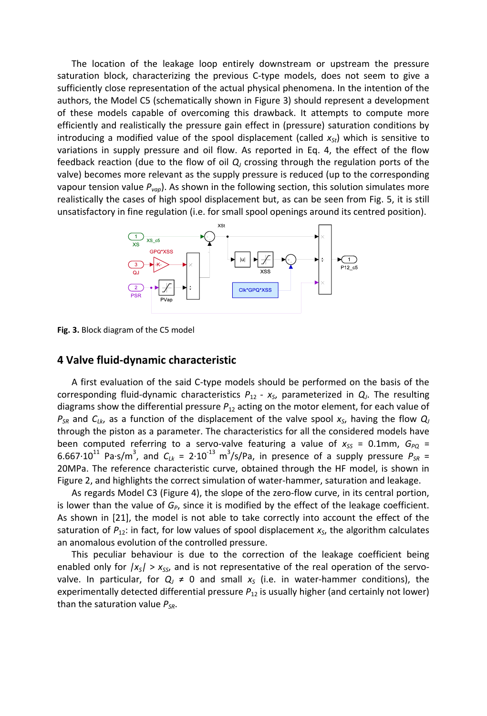The location of the leakage loop entirely downstream or upstream the pressure saturation block, characterizing the previous C-type models, does not seem to give a sufficiently close representation of the actual physical phenomena. In the intention of the authors, the Model C5 (schematically shown in Figure 3) should represent a development of these models capable of overcoming this drawback. It attempts to compute more efficiently and realistically the pressure gain effect in (pressure) saturation conditions by introducing a modified value of the spool displacement (called  $x_{5t}$ ) which is sensitive to variations in supply pressure and oil flow. As reported in Eq. 4, the effect of the flow feedback reaction (due to the flow of oil *Q<sup>J</sup>* crossing through the regulation ports of the valve) becomes more relevant as the supply pressure is reduced (up to the corresponding vapour tension value *Pvap*). As shown in the following section, this solution simulates more realistically the cases of high spool displacement but, as can be seen from Fig. 5, it is still unsatisfactory in fine regulation (i.e. for small spool openings around its centred position).



**Fig. 3.** Block diagram of the C5 model

#### **4 Valve fluid-dynamic characteristic**

A first evaluation of the said C-type models should be performed on the basis of the corresponding fluid-dynamic characteristics *P*12 *- x<sup>S</sup>* , parameterized in *Q<sup>J</sup>* . The resulting diagrams show the differential pressure *P*<sup>12</sup> acting on the motor element, for each value of *PSR* and *CLk*, as a function of the displacement of the valve spool *x<sup>S</sup>* , having the flow *Q<sup>J</sup>* through the piston as a parameter. The characteristics for all the considered models have been computed referring to a servo-valve featuring a value of  $x_{SS} = 0.1$ mm,  $G_{PQ} =$ 6.667 $\cdot$ 10<sup>11</sup> Pa·s/m<sup>3</sup>, and  $C_{Lk}$  = 2 $\cdot$ 10<sup>-13</sup> m<sup>3</sup>/s/Pa, in presence of a supply pressure  $P_{SR}$  = 20MPa. The reference characteristic curve, obtained through the HF model, is shown in Figure 2, and highlights the correct simulation of water-hammer, saturation and leakage.

As regards Model C3 (Figure 4), the slope of the zero-flow curve, in its central portion, is lower than the value of  $G_p$ , since it is modified by the effect of the leakage coefficient. As shown in [21], the model is not able to take correctly into account the effect of the saturation of *P*12: in fact, for low values of spool displacement *x<sup>S</sup>* , the algorithm calculates an anomalous evolution of the controlled pressure.

This peculiar behaviour is due to the correction of the leakage coefficient being enabled only for  $|x_s| > x_{ss}$ , and is not representative of the real operation of the servovalve. In particular, for  $Q<sub>j</sub> \neq 0$  and small  $x<sub>s</sub>$  (i.e. in water-hammer conditions), the experimentally detected differential pressure  $P_{12}$  is usually higher (and certainly not lower) than the saturation value *PSR*.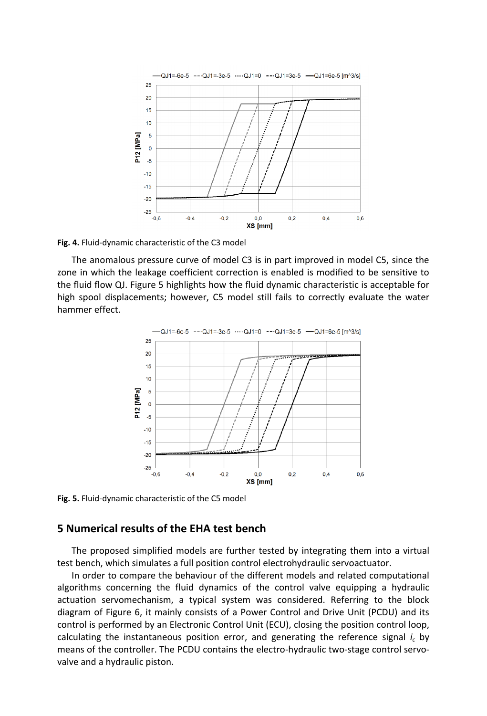

**Fig. 4.** Fluid-dynamic characteristic of the C3 model

The anomalous pressure curve of model C3 is in part improved in model C5, since the zone in which the leakage coefficient correction is enabled is modified to be sensitive to the fluid flow QJ. Figure 5 highlights how the fluid dynamic characteristic is acceptable for high spool displacements; however, C5 model still fails to correctly evaluate the water hammer effect.



**Fig. 5.** Fluid-dynamic characteristic of the C5 model

## **5 Numerical results of the EHA test bench**

The proposed simplified models are further tested by integrating them into a virtual test bench, which simulates a full position control electrohydraulic servoactuator.

In order to compare the behaviour of the different models and related computational algorithms concerning the fluid dynamics of the control valve equipping a hydraulic actuation servomechanism, a typical system was considered. Referring to the block diagram of Figure 6, it mainly consists of a Power Control and Drive Unit (PCDU) and its control is performed by an Electronic Control Unit (ECU), closing the position control loop, calculating the instantaneous position error, and generating the reference signal  $i_c$  by means of the controller. The PCDU contains the electro-hydraulic two-stage control servovalve and a hydraulic piston.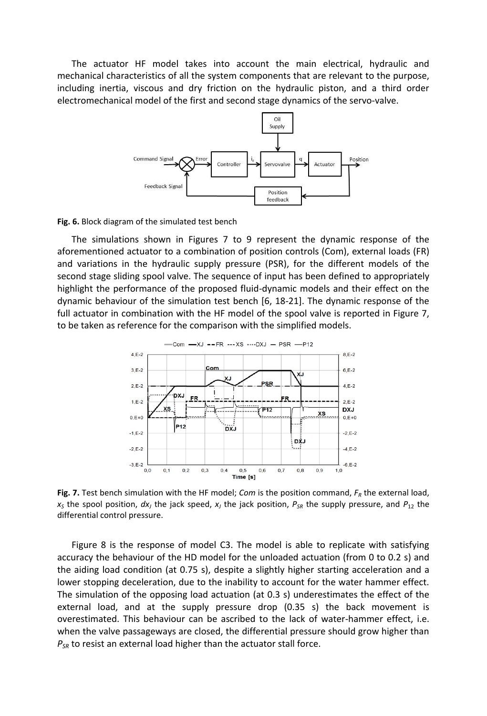The actuator HF model takes into account the main electrical, hydraulic and mechanical characteristics of all the system components that are relevant to the purpose, including inertia, viscous and dry friction on the hydraulic piston, and a third order electromechanical model of the first and second stage dynamics of the servo-valve.



**Fig. 6.** Block diagram of the simulated test bench

The simulations shown in Figures 7 to 9 represent the dynamic response of the aforementioned actuator to a combination of position controls (Com), external loads (FR) and variations in the hydraulic supply pressure (PSR), for the different models of the second stage sliding spool valve. The sequence of input has been defined to appropriately highlight the performance of the proposed fluid-dynamic models and their effect on the dynamic behaviour of the simulation test bench [6, 18-21]. The dynamic response of the full actuator in combination with the HF model of the spool valve is reported in Figure 7, to be taken as reference for the comparison with the simplified models.



**Fig. 7.** Test bench simulation with the HF model; *Com* is the position command,  $F_R$  the external load,  $x<sub>S</sub>$  the spool position,  $dx<sub>J</sub>$  the jack speed,  $x<sub>J</sub>$  the jack position,  $P<sub>SR</sub>$  the supply pressure, and  $P<sub>12</sub>$  the differential control pressure.

Figure 8 is the response of model C3. The model is able to replicate with satisfying accuracy the behaviour of the HD model for the unloaded actuation (from 0 to 0.2 s) and the aiding load condition (at 0.75 s), despite a slightly higher starting acceleration and a lower stopping deceleration, due to the inability to account for the water hammer effect. The simulation of the opposing load actuation (at 0.3 s) underestimates the effect of the external load, and at the supply pressure drop (0.35 s) the back movement is overestimated. This behaviour can be ascribed to the lack of water-hammer effect, i.e. when the valve passageways are closed, the differential pressure should grow higher than *PSR* to resist an external load higher than the actuator stall force.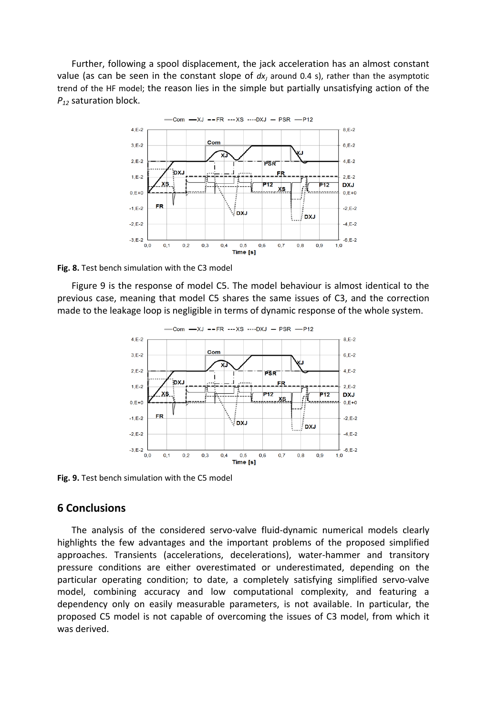Further, following a spool displacement, the jack acceleration has an almost constant value (as can be seen in the constant slope of  $dx<sub>J</sub>$  around 0.4 s), rather than the asymptotic trend of the HF model; the reason lies in the simple but partially unsatisfying action of the *P<sup>12</sup>* saturation block.



**Fig. 8.** Test bench simulation with the C3 model

Figure 9 is the response of model C5. The model behaviour is almost identical to the previous case, meaning that model C5 shares the same issues of C3, and the correction made to the leakage loop is negligible in terms of dynamic response of the whole system.



**Fig. 9.** Test bench simulation with the C5 model

### **6 Conclusions**

The analysis of the considered servo-valve fluid-dynamic numerical models clearly highlights the few advantages and the important problems of the proposed simplified approaches. Transients (accelerations, decelerations), water-hammer and transitory pressure conditions are either overestimated or underestimated, depending on the particular operating condition; to date, a completely satisfying simplified servo-valve model, combining accuracy and low computational complexity, and featuring a dependency only on easily measurable parameters, is not available. In particular, the proposed C5 model is not capable of overcoming the issues of C3 model, from which it was derived.